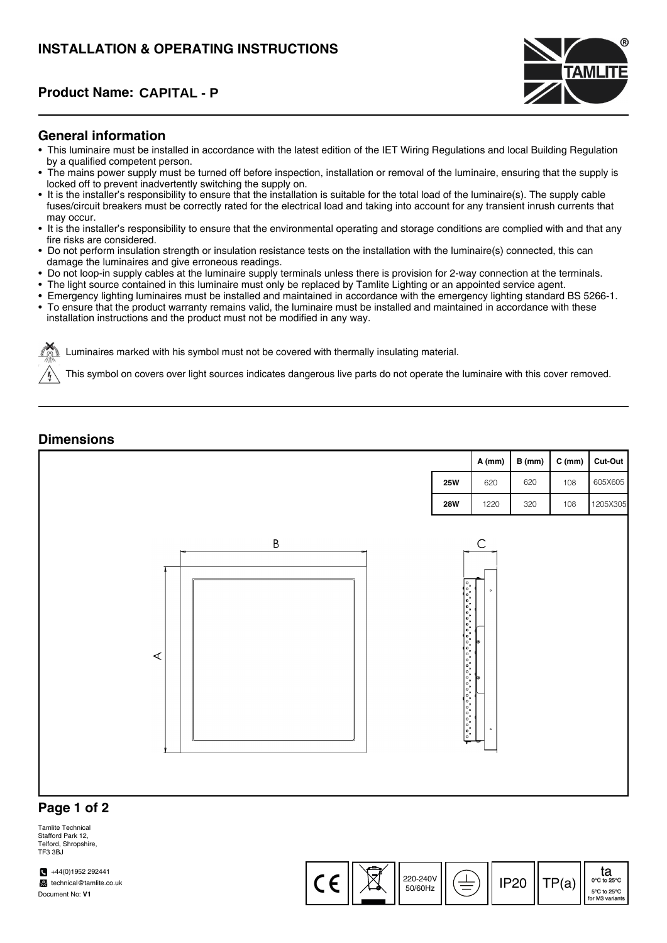# **INSTALLATION & OPERATING INSTRUCTIONS**

## **Product Name: CAPITAL - P**



#### **General information**

- This luminaire must be installed in accordance with the latest edition of the IET Wiring Regulations and local Building Regulation by a qualified competent person.
- The mains power supply must be turned off before inspection, installation or removal of the luminaire, ensuring that the supply is locked off to prevent inadvertently switching the supply on.
- It is the installer's responsibility to ensure that the installation is suitable for the total load of the luminaire(s). The supply cable fuses/circuit breakers must be correctly rated for the electrical load and taking into account for any transient inrush currents that may occur.
- It is the installer's responsibility to ensure that the environmental operating and storage conditions are complied with and that any fire risks are considered.
- Do not perform insulation strength or insulation resistance tests on the installation with the luminaire(s) connected, this can damage the luminaires and give erroneous readings.
- Do not loop-in supply cables at the luminaire supply terminals unless there is provision for 2-way connection at the terminals.
- The light source contained in this luminaire must only be replaced by Tamlite Lighting or an appointed service agent.
- Emergency lighting luminaires must be installed and maintained in accordance with the emergency lighting standard BS 5266-1.
- To ensure that the product warranty remains valid, the luminaire must be installed and maintained in accordance with these installation instructions and the product must not be modified in any way.

Luminaires marked with his symbol must not be covered with thermally insulating material.

This symbol on covers over light sources indicates dangerous live parts do not operate the luminaire with this cover removed.

### **Dimensions**



 $\frac{220-240}{50}$   $\left( \frac{1}{2} \right)$   $\left| \right|$  IP20  $\left| \right|$  TP(a)

ta<br><sup>0°C to 25</sup> 5°C to 25°C for M3 variants

50/60Hz

#### Tamlite Technical Stafford Park 12, Telford, Shropshire, TE3 3BJ

 $+44(0)1952292441$ technical@tamlite.co.uk Document No: **V1**